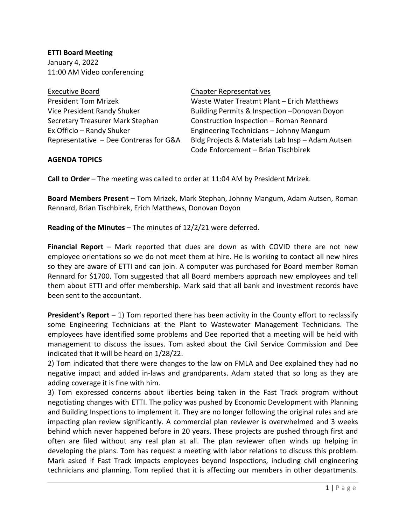**ETTI Board Meeting** January 4, 2022 11:00 AM Video conferencing

Executive Board **Chapter Representatives** 

## **AGENDA TOPICS**

President Tom Mrizek Waste Water Treatmt Plant – Erich Matthews Vice President Randy Shuker Building Permits & Inspection –Donovan Doyon Secretary Treasurer Mark Stephan Construction Inspection – Roman Rennard Ex Officio – Randy Shuker Engineering Technicians – Johnny Mangum Representative – Dee Contreras for G&A Bldg Projects & Materials Lab Insp – Adam Autsen Code Enforcement – Brian Tischbirek

**Call to Order** – The meeting was called to order at 11:04 AM by President Mrizek.

**Board Members Present** – Tom Mrizek, Mark Stephan, Johnny Mangum, Adam Autsen, Roman Rennard, Brian Tischbirek, Erich Matthews, Donovan Doyon

**Reading of the Minutes** – The minutes of 12/2/21 were deferred.

**Financial Report** – Mark reported that dues are down as with COVID there are not new employee orientations so we do not meet them at hire. He is working to contact all new hires so they are aware of ETTI and can join. A computer was purchased for Board member Roman Rennard for \$1700. Tom suggested that all Board members approach new employees and tell them about ETTI and offer membership. Mark said that all bank and investment records have been sent to the accountant.

**President's Report** – 1) Tom reported there has been activity in the County effort to reclassify some Engineering Technicians at the Plant to Wastewater Management Technicians. The employees have identified some problems and Dee reported that a meeting will be held with management to discuss the issues. Tom asked about the Civil Service Commission and Dee indicated that it will be heard on 1/28/22.

2) Tom indicated that there were changes to the law on FMLA and Dee explained they had no negative impact and added in-laws and grandparents. Adam stated that so long as they are adding coverage it is fine with him.

3) Tom expressed concerns about liberties being taken in the Fast Track program without negotiating changes with ETTI. The policy was pushed by Economic Development with Planning and Building Inspections to implement it. They are no longer following the original rules and are impacting plan review significantly. A commercial plan reviewer is overwhelmed and 3 weeks behind which never happened before in 20 years. These projects are pushed through first and often are filed without any real plan at all. The plan reviewer often winds up helping in developing the plans. Tom has request a meeting with labor relations to discuss this problem. Mark asked if Fast Track impacts employees beyond Inspections, including civil engineering technicians and planning. Tom replied that it is affecting our members in other departments.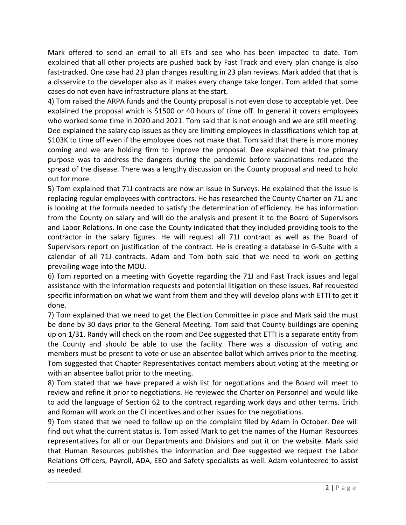Mark offered to send an email to all ETs and see who has been impacted to date. Tom explained that all other projects are pushed back by Fast Track and every plan change is also fast-tracked. One case had 23 plan changes resulting in 23 plan reviews. Mark added that that is a disservice to the developer also as it makes every change take longer. Tom added that some cases do not even have infrastructure plans at the start.

4) Tom raised the ARPA funds and the County proposal is not even close to acceptable yet. Dee explained the proposal which is \$1500 or 40 hours of time off. In general it covers employees who worked some time in 2020 and 2021. Tom said that is not enough and we are still meeting. Dee explained the salary cap issues as they are limiting employees in classifications which top at \$103K to time off even if the employee does not make that. Tom said that there is more money coming and we are holding firm to improve the proposal. Dee explained that the primary purpose was to address the dangers during the pandemic before vaccinations reduced the spread of the disease. There was a lengthy discussion on the County proposal and need to hold out for more.

5) Tom explained that 71J contracts are now an issue in Surveys. He explained that the issue is replacing regular employees with contractors. He has researched the County Charter on 71J and is looking at the formula needed to satisfy the determination of efficiency. He has information from the County on salary and will do the analysis and present it to the Board of Supervisors and Labor Relations. In one case the County indicated that they included providing tools to the contractor in the salary figures. He will request all 71J contract as well as the Board of Supervisors report on justification of the contract. He is creating a database in G-Suite with a calendar of all 71J contracts. Adam and Tom both said that we need to work on getting prevailing wage into the MOU.

6) Tom reported on a meeting with Goyette regarding the 71J and Fast Track issues and legal assistance with the information requests and potential litigation on these issues. Raf requested specific information on what we want from them and they will develop plans with ETTI to get it done.

7) Tom explained that we need to get the Election Committee in place and Mark said the must be done by 30 days prior to the General Meeting. Tom said that County buildings are opening up on 1/31. Randy will check on the room and Dee suggested that ETTI is a separate entity from the County and should be able to use the facility. There was a discussion of voting and members must be present to vote or use an absentee ballot which arrives prior to the meeting. Tom suggested that Chapter Representatives contact members about voting at the meeting or with an absentee ballot prior to the meeting.

8) Tom stated that we have prepared a wish list for negotiations and the Board will meet to review and refine it prior to negotiations. He reviewed the Charter on Personnel and would like to add the language of Section 62 to the contract regarding work days and other terms. Erich and Roman will work on the CI incentives and other issues for the negotiations.

9) Tom stated that we need to follow up on the complaint filed by Adam in October. Dee will find out what the current status is. Tom asked Mark to get the names of the Human Resources representatives for all or our Departments and Divisions and put it on the website. Mark said that Human Resources publishes the information and Dee suggested we request the Labor Relations Officers, Payroll, ADA, EEO and Safety specialists as well. Adam volunteered to assist as needed.